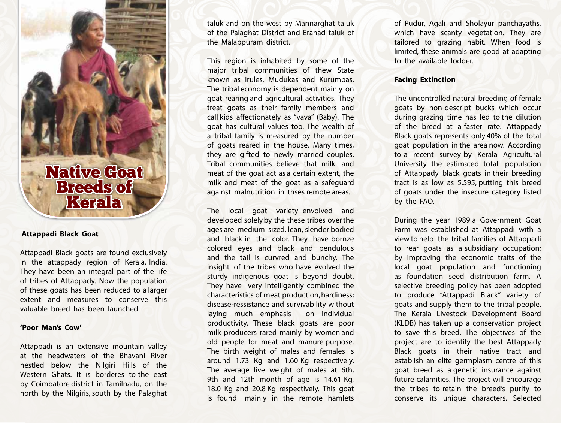

# **Attappadi Black Goat**

Attappadi Black goats are found exclusively in the attappady region of Kerala, India. They have been an integral part of the life of tribes of Attappady. Now the population of these goats has been reduced to a larger extent and measures to conserve this valuable breed has been launched.

#### **'Poor Man's Cow'**

Attappadi is an extensive mountain valley at the headwaters of the Bhavani River nestled below the Nilgiri Hills of the Western Ghats. It is borderes to the east by Coimbatore district in Tamilnadu, on the north by the Nilgiris, south by the Palaghat

taluk and on the west by Mannarghat taluk of the Palaghat District and Eranad taluk of the Malappuram district.

This region is inhabited by some of the major tribal communities of thew State known as Irules, Mudukas and Kurumbas. The tribal economy is dependent mainly on goat rearing and agricultural activities. They treat goats as their family members and call kids affectionately as "vava" (Baby). The goat has cultural values too. The wealth of a tribal family is measured by the number of goats reared in the house. Many times, they are gifted to newly married couples. Tribal communities believe that milk and meat of the goat act as a certain extent, the milk and meat of the goat as a safeguard against malnutrition in thses remote areas.

The local goat variety envolved and developed solely by the these tribes over the ages are medium sized, lean, slender bodied and black in the color. They have bornze colored eyes and black and pendulous and the tail is curvred and bunchy. The insight of the tribes who have evolved the sturdy indigenous goat is beyond doubt. They have very intelligently combined the characteristics of meat production, hardiness; disease-ressistance and survivability without laying much emphasis on individual productivity. These black goats are poor milk producers rared mainly by women and old people for meat and manure purpose. The birth weight of males and females is around 1.73 Kg and 1.60 Kg respectively. The average live weight of males at 6th, 9th and 12th month of age is 14.61 Kg, 18.0 Kg and 20.8 Kg respectively. This goat is found mainly in the remote hamlets

of Pudur, Agali and Sholayur panchayaths, which have scanty vegetation. They are tailored to grazing habit. When food is limited, these animals are good at adapting to the available fodder.

# **Facing Extinction**

The uncontrolled natural breeding of female goats by non-descript bucks which occur during grazing time has led to the dilution of the breed at a faster rate. Attappady Black goats represents only 40% of the total goat population in the area now. According to a recent survey by Kerala Agricultural University the estimated total population of Attappady black goats in their breeding tract is as low as 5,595, putting this breed of goats under the insecure category listed by the FAO.

During the year 1989 a Government Goat Farm was established at Attappadi with a view to help the tribal families of Attappadi to rear goats as a subsidiary occupation; by improving the economic traits of the local goat population and functioning as foundation seed distribution farm. A selective breeding policy has been adopted to produce "Attappadi Black" variety of goats and supply them to the tribal people. The Kerala Livestock Development Board (KLDB) has taken up a conservation project to save this breed. The objectives of the project are to identify the best Attappady Black goats in their native tract and establish an elite germplasm centre of this goat breed as a genetic insurance against future calamities. The project will encourage the tribes to retain the breed's purity to conserve its unique characters. Selected